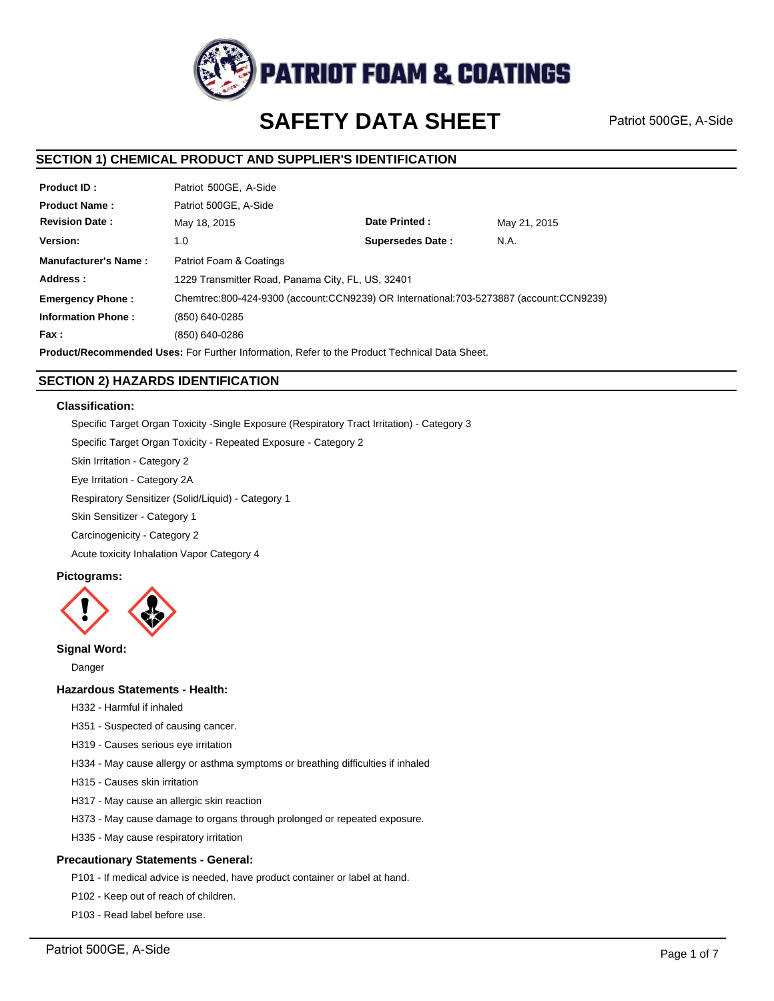

# **SAFETY DATA SHEET**

Patriot 500GE, A-Side

# **SECTION 1) CHEMICAL PRODUCT AND SUPPLIER'S IDENTIFICATION**

| <b>Product ID:</b>          | Patriot 500GE, A-Side                                                                  |                         |              |
|-----------------------------|----------------------------------------------------------------------------------------|-------------------------|--------------|
| <b>Product Name:</b>        | Patriot 500GE, A-Side                                                                  |                         |              |
| <b>Revision Date:</b>       | May 18, 2015                                                                           | Date Printed:           | May 21, 2015 |
| Version:                    | 1.0                                                                                    | <b>Supersedes Date:</b> | N.A.         |
| <b>Manufacturer's Name:</b> | Patriot Foam & Coatings                                                                |                         |              |
| Address:                    | 1229 Transmitter Road, Panama City, FL, US, 32401                                      |                         |              |
| <b>Emergency Phone:</b>     | Chemtrec:800-424-9300 (account:CCN9239) OR International:703-5273887 (account:CCN9239) |                         |              |
| <b>Information Phone:</b>   | (850) 640-0285                                                                         |                         |              |
| Fax :                       | (850) 640-0286                                                                         |                         |              |
|                             |                                                                                        |                         |              |

**Product/Recommended Uses:** For Further Information, Refer to the Product Technical Data Sheet.

# **SECTION 2) HAZARDS IDENTIFICATION**

### **Classification:**

Specific Target Organ Toxicity -Single Exposure (Respiratory Tract Irritation) - Category 3 Specific Target Organ Toxicity - Repeated Exposure - Category 2

Skin Irritation - Category 2

Eye Irritation - Category 2A

Respiratory Sensitizer (Solid/Liquid) - Category 1

Skin Sensitizer - Category 1

Carcinogenicity - Category 2

Acute toxicity Inhalation Vapor Category 4

### **Pictograms:**



### **Signal Word:**

Danger

### **Hazardous Statements - Health:**

H332 - Harmful if inhaled

- H351 Suspected of causing cancer.
- H319 Causes serious eye irritation
- H334 May cause allergy or asthma symptoms or breathing difficulties if inhaled
- H315 Causes skin irritation
- H317 May cause an allergic skin reaction
- H373 May cause damage to organs through prolonged or repeated exposure.
- H335 May cause respiratory irritation

### **Precautionary Statements - General:**

P101 - If medical advice is needed, have product container or label at hand.

- P102 Keep out of reach of children.
- P103 Read label before use.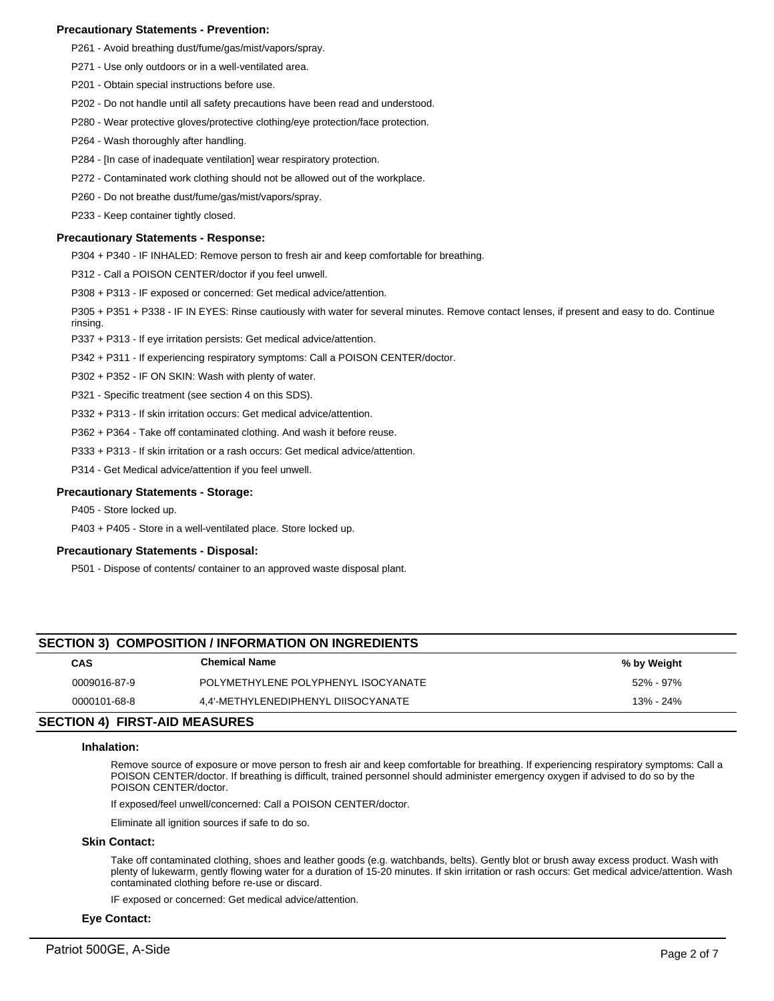### **Precautionary Statements - Prevention:**

- P261 Avoid breathing dust/fume/gas/mist/vapors/spray.
- P271 Use only outdoors or in a well-ventilated area.
- P201 Obtain special instructions before use.
- P202 Do not handle until all safety precautions have been read and understood.
- P280 Wear protective gloves/protective clothing/eye protection/face protection.
- P264 Wash thoroughly after handling.
- P284 [In case of inadequate ventilation] wear respiratory protection.
- P272 Contaminated work clothing should not be allowed out of the workplace.
- P260 Do not breathe dust/fume/gas/mist/vapors/spray.
- P233 Keep container tightly closed.

### **Precautionary Statements - Response:**

P304 + P340 - IF INHALED: Remove person to fresh air and keep comfortable for breathing.

P312 - Call a POISON CENTER/doctor if you feel unwell.

P308 + P313 - IF exposed or concerned: Get medical advice/attention.

P305 + P351 + P338 - IF IN EYES: Rinse cautiously with water for several minutes. Remove contact lenses, if present and easy to do. Continue rinsing.

P337 + P313 - If eye irritation persists: Get medical advice/attention.

P342 + P311 - If experiencing respiratory symptoms: Call a POISON CENTER/doctor.

P302 + P352 - IF ON SKIN: Wash with plenty of water.

P321 - Specific treatment (see section 4 on this SDS).

P332 + P313 - If skin irritation occurs: Get medical advice/attention.

P362 + P364 - Take off contaminated clothing. And wash it before reuse.

P333 + P313 - If skin irritation or a rash occurs: Get medical advice/attention.

P314 - Get Medical advice/attention if you feel unwell.

### **Precautionary Statements - Storage:**

P405 - Store locked up.

P403 + P405 - Store in a well-ventilated place. Store locked up.

### **Precautionary Statements - Disposal:**

P501 - Dispose of contents/ container to an approved waste disposal plant.

# **SECTION 3) COMPOSITION / INFORMATION ON INGREDIENTS**

| CAS          | <b>Chemical Name</b>                | % by Weight |
|--------------|-------------------------------------|-------------|
| 0009016-87-9 | POLYMETHYLENE POLYPHENYL ISOCYANATE | 52% - 97%   |
| 0000101-68-8 | 4.4'-METHYLENEDIPHENYL DIISOCYANATE | 13% - 24%   |

# **SECTION 4) FIRST-AID MEASURES**

### **Inhalation:**

Remove source of exposure or move person to fresh air and keep comfortable for breathing. If experiencing respiratory symptoms: Call a POISON CENTER/doctor. If breathing is difficult, trained personnel should administer emergency oxygen if advised to do so by the POISON CENTER/doctor.

If exposed/feel unwell/concerned: Call a POISON CENTER/doctor.

Eliminate all ignition sources if safe to do so.

### **Skin Contact:**

Take off contaminated clothing, shoes and leather goods (e.g. watchbands, belts). Gently blot or brush away excess product. Wash with plenty of lukewarm, gently flowing water for a duration of 15-20 minutes. If skin irritation or rash occurs: Get medical advice/attention. Wash contaminated clothing before re-use or discard.

IF exposed or concerned: Get medical advice/attention.

### **Eye Contact:**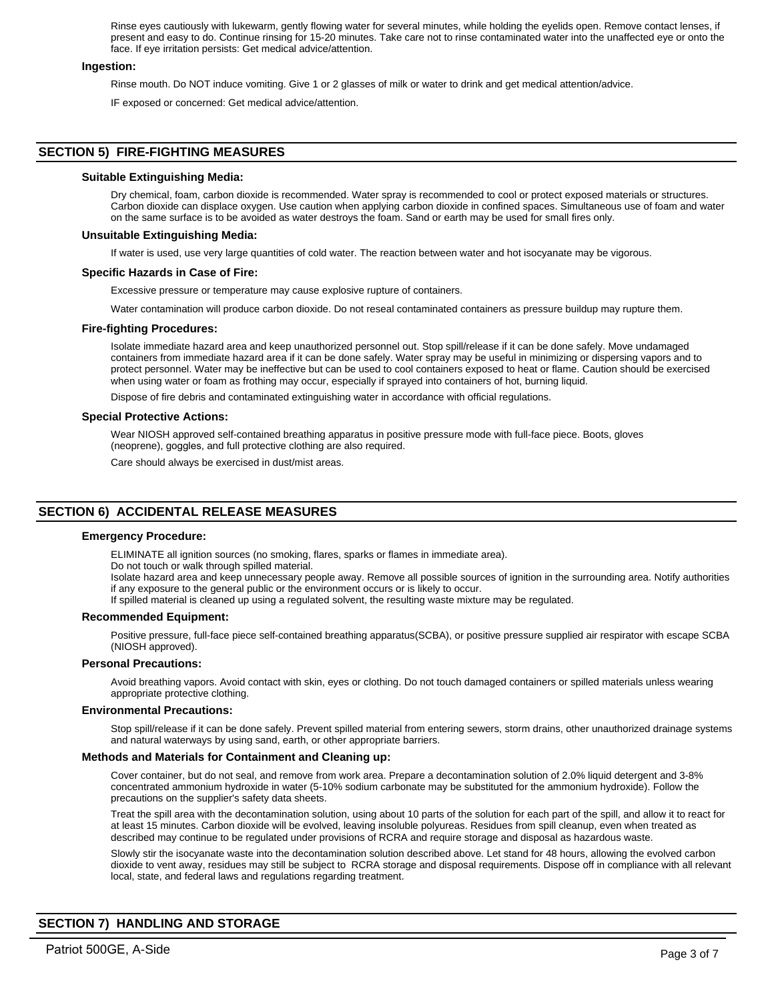Rinse eyes cautiously with lukewarm, gently flowing water for several minutes, while holding the eyelids open. Remove contact lenses, if present and easy to do. Continue rinsing for 15-20 minutes. Take care not to rinse contaminated water into the unaffected eye or onto the face. If eye irritation persists: Get medical advice/attention.

### **Ingestion:**

Rinse mouth. Do NOT induce vomiting. Give 1 or 2 glasses of milk or water to drink and get medical attention/advice.

IF exposed or concerned: Get medical advice/attention.

### **SECTION 5) FIRE-FIGHTING MEASURES**

### **Suitable Extinguishing Media:**

Dry chemical, foam, carbon dioxide is recommended. Water spray is recommended to cool or protect exposed materials or structures. Carbon dioxide can displace oxygen. Use caution when applying carbon dioxide in confined spaces. Simultaneous use of foam and water on the same surface is to be avoided as water destroys the foam. Sand or earth may be used for small fires only.

### **Unsuitable Extinguishing Media:**

If water is used, use very large quantities of cold water. The reaction between water and hot isocyanate may be vigorous.

### **Specific Hazards in Case of Fire:**

Excessive pressure or temperature may cause explosive rupture of containers.

Water contamination will produce carbon dioxide. Do not reseal contaminated containers as pressure buildup may rupture them.

### **Fire-fighting Procedures:**

Isolate immediate hazard area and keep unauthorized personnel out. Stop spill/release if it can be done safely. Move undamaged containers from immediate hazard area if it can be done safely. Water spray may be useful in minimizing or dispersing vapors and to protect personnel. Water may be ineffective but can be used to cool containers exposed to heat or flame. Caution should be exercised when using water or foam as frothing may occur, especially if sprayed into containers of hot, burning liquid.

Dispose of fire debris and contaminated extinguishing water in accordance with official regulations.

### **Special Protective Actions:**

Wear NIOSH approved self-contained breathing apparatus in positive pressure mode with full-face piece. Boots, gloves (neoprene), goggles, and full protective clothing are also required.

Care should always be exercised in dust/mist areas.

# **SECTION 6) ACCIDENTAL RELEASE MEASURES**

### **Emergency Procedure:**

ELIMINATE all ignition sources (no smoking, flares, sparks or flames in immediate area).

Do not touch or walk through spilled material.

Isolate hazard area and keep unnecessary people away. Remove all possible sources of ignition in the surrounding area. Notify authorities if any exposure to the general public or the environment occurs or is likely to occur.

If spilled material is cleaned up using a regulated solvent, the resulting waste mixture may be regulated.

### **Recommended Equipment:**

Positive pressure, full-face piece self-contained breathing apparatus(SCBA), or positive pressure supplied air respirator with escape SCBA (NIOSH approved).

### **Personal Precautions:**

Avoid breathing vapors. Avoid contact with skin, eyes or clothing. Do not touch damaged containers or spilled materials unless wearing appropriate protective clothing.

### **Environmental Precautions:**

Stop spill/release if it can be done safely. Prevent spilled material from entering sewers, storm drains, other unauthorized drainage systems and natural waterways by using sand, earth, or other appropriate barriers.

### **Methods and Materials for Containment and Cleaning up:**

Cover container, but do not seal, and remove from work area. Prepare a decontamination solution of 2.0% liquid detergent and 3-8% concentrated ammonium hydroxide in water (5-10% sodium carbonate may be substituted for the ammonium hydroxide). Follow the precautions on the supplier's safety data sheets.

Treat the spill area with the decontamination solution, using about 10 parts of the solution for each part of the spill, and allow it to react for at least 15 minutes. Carbon dioxide will be evolved, leaving insoluble polyureas. Residues from spill cleanup, even when treated as described may continue to be regulated under provisions of RCRA and require storage and disposal as hazardous waste.

Slowly stir the isocyanate waste into the decontamination solution described above. Let stand for 48 hours, allowing the evolved carbon dioxide to vent away, residues may still be subject to RCRA storage and disposal requirements. Dispose off in compliance with all relevant local, state, and federal laws and regulations regarding treatment.

# **SECTION 7) HANDLING AND STORAGE**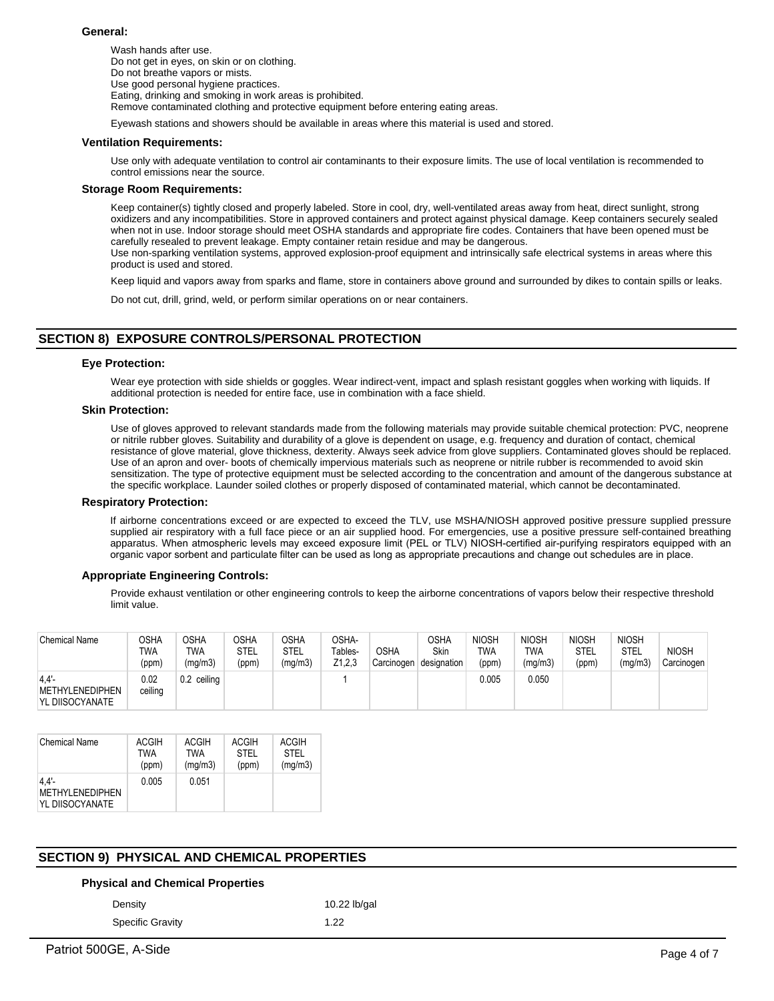### **General:**

Wash hands after use. Do not get in eyes, on skin or on clothing. Do not breathe vapors or mists. Use good personal hygiene practices. Eating, drinking and smoking in work areas is prohibited. Remove contaminated clothing and protective equipment before entering eating areas.

Eyewash stations and showers should be available in areas where this material is used and stored.

### **Ventilation Requirements:**

Use only with adequate ventilation to control air contaminants to their exposure limits. The use of local ventilation is recommended to control emissions near the source.

### **Storage Room Requirements:**

Keep container(s) tightly closed and properly labeled. Store in cool, dry, well-ventilated areas away from heat, direct sunlight, strong oxidizers and any incompatibilities. Store in approved containers and protect against physical damage. Keep containers securely sealed when not in use. Indoor storage should meet OSHA standards and appropriate fire codes. Containers that have been opened must be carefully resealed to prevent leakage. Empty container retain residue and may be dangerous. Use non-sparking ventilation systems, approved explosion-proof equipment and intrinsically safe electrical systems in areas where this product is used and stored.

Keep liquid and vapors away from sparks and flame, store in containers above ground and surrounded by dikes to contain spills or leaks.

Do not cut, drill, grind, weld, or perform similar operations on or near containers.

### **SECTION 8) EXPOSURE CONTROLS/PERSONAL PROTECTION**

### **Eye Protection:**

Wear eye protection with side shields or goggles. Wear indirect-vent, impact and splash resistant goggles when working with liquids. If additional protection is needed for entire face, use in combination with a face shield.

### **Skin Protection:**

Use of gloves approved to relevant standards made from the following materials may provide suitable chemical protection: PVC, neoprene or nitrile rubber gloves. Suitability and durability of a glove is dependent on usage, e.g. frequency and duration of contact, chemical resistance of glove material, glove thickness, dexterity. Always seek advice from glove suppliers. Contaminated gloves should be replaced. Use of an apron and over- boots of chemically impervious materials such as neoprene or nitrile rubber is recommended to avoid skin sensitization. The type of protective equipment must be selected according to the concentration and amount of the dangerous substance at the specific workplace. Launder soiled clothes or properly disposed of contaminated material, which cannot be decontaminated.

### **Respiratory Protection:**

If airborne concentrations exceed or are expected to exceed the TLV, use MSHA/NIOSH approved positive pressure supplied pressure supplied air respiratory with a full face piece or an air supplied hood. For emergencies, use a positive pressure self-contained breathing apparatus. When atmospheric levels may exceed exposure limit (PEL or TLV) NIOSH-certified air-purifying respirators equipped with an organic vapor sorbent and particulate filter can be used as long as appropriate precautions and change out schedules are in place.

### **Appropriate Engineering Controls:**

Provide exhaust ventilation or other engineering controls to keep the airborne concentrations of vapors below their respective threshold limit value.

| <b>Chemical Name</b>                       | OSHA<br>TWA<br>(ppm) | <b>OSHA</b><br>TWA<br>(mg/m3) | <b>OSHA</b><br>STEL<br>(ppm) | OSHA<br>STEL<br>(mg/m3) | OSHA-<br>Tables-<br>Z <sub>1</sub> ,2,3 | <b>OSHA</b><br>Carcinogen | OSHA<br><b>Skin</b><br>designation | <b>NIOSH</b><br><b>TWA</b><br>(ppm) | <b>NIOSH</b><br>TWA<br>(mg/m3) | <b>NIOSH</b><br><b>STEL</b><br>(ppm) | <b>NIOSH</b><br>STEL<br>(mg/m3) | <b>NIOSH</b><br>Carcinogen |
|--------------------------------------------|----------------------|-------------------------------|------------------------------|-------------------------|-----------------------------------------|---------------------------|------------------------------------|-------------------------------------|--------------------------------|--------------------------------------|---------------------------------|----------------------------|
| 4.4'<br>METHYLENEDIPHEN<br>YL DIISOCYANATE | 0.02<br>ceiling      | 0.2 ceiling                   |                              |                         |                                         |                           |                                    | 0.005                               | 0.050                          |                                      |                                 |                            |

| <b>Chemical Name</b>                                  | ACGIH | ACGIH   | <b>ACGIH</b> | <b>ACGIH</b> |
|-------------------------------------------------------|-------|---------|--------------|--------------|
|                                                       | TWA   | TWA     | <b>STEL</b>  | <b>STEL</b>  |
|                                                       | (ppm) | (mg/m3) | (ppm)        | (mg/m3)      |
| $4.4'$ -<br><b>METHYLENEDIPHEN</b><br>YL DIISOCYANATE | 0.005 | 0.051   |              |              |

### **SECTION 9) PHYSICAL AND CHEMICAL PROPERTIES**

### **Physical and Chemical Properties**

Density **10.22 lb/gal** 

Specific Gravity 1.22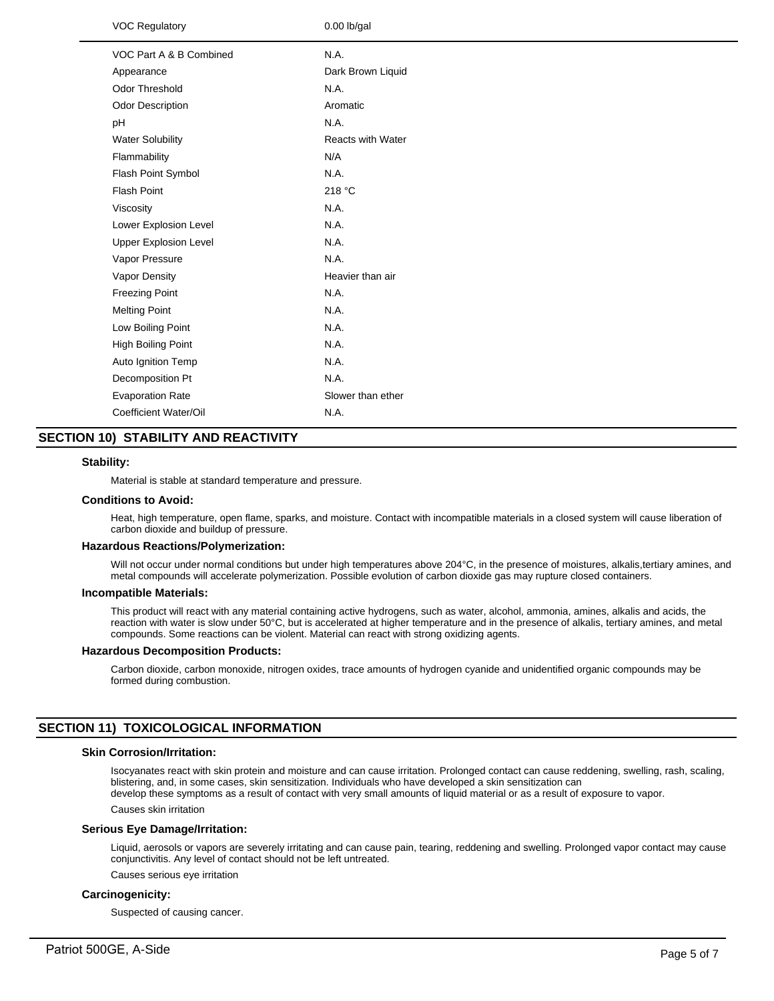| <b>VOC Regulatory</b>        | $0.00$ lb/gal            |
|------------------------------|--------------------------|
| VOC Part A & B Combined      | N.A.                     |
| Appearance                   | Dark Brown Liquid        |
| Odor Threshold               | N.A.                     |
| Odor Description             | Aromatic                 |
| pH                           | N.A.                     |
| <b>Water Solubility</b>      | <b>Reacts with Water</b> |
| Flammability                 | N/A                      |
| Flash Point Symbol           | N.A.                     |
| <b>Flash Point</b>           | 218 °C                   |
| Viscosity                    | N.A.                     |
| Lower Explosion Level        | N.A.                     |
| <b>Upper Explosion Level</b> | N.A.                     |
| Vapor Pressure               | N.A.                     |
| Vapor Density                | Heavier than air         |
| <b>Freezing Point</b>        | N.A.                     |
| <b>Melting Point</b>         | N.A.                     |
| Low Boiling Point            | N.A.                     |
| <b>High Boiling Point</b>    | N.A.                     |
| Auto Ignition Temp           | N.A.                     |
| Decomposition Pt             | N.A.                     |
| <b>Evaporation Rate</b>      | Slower than ether        |
| Coefficient Water/Oil        | N.A.                     |
|                              |                          |

# **SECTION 10) STABILITY AND REACTIVITY**

### **Stability:**

Material is stable at standard temperature and pressure.

#### **Conditions to Avoid:**

Heat, high temperature, open flame, sparks, and moisture. Contact with incompatible materials in a closed system will cause liberation of carbon dioxide and buildup of pressure.

### **Hazardous Reactions/Polymerization:**

Will not occur under normal conditions but under high temperatures above 204°C, in the presence of moistures, alkalis,tertiary amines, and metal compounds will accelerate polymerization. Possible evolution of carbon dioxide gas may rupture closed containers.

#### **Incompatible Materials:**

This product will react with any material containing active hydrogens, such as water, alcohol, ammonia, amines, alkalis and acids, the reaction with water is slow under 50°C, but is accelerated at higher temperature and in the presence of alkalis, tertiary amines, and metal compounds. Some reactions can be violent. Material can react with strong oxidizing agents.

### **Hazardous Decomposition Products:**

Carbon dioxide, carbon monoxide, nitrogen oxides, trace amounts of hydrogen cyanide and unidentified organic compounds may be formed during combustion.

### **SECTION 11) TOXICOLOGICAL INFORMATION**

# **Skin Corrosion/Irritation:**

Isocyanates react with skin protein and moisture and can cause irritation. Prolonged contact can cause reddening, swelling, rash, scaling, blistering, and, in some cases, skin sensitization. Individuals who have developed a skin sensitization can develop these symptoms as a result of contact with very small amounts of liquid material or as a result of exposure to vapor.

Causes skin irritation

### **Serious Eye Damage/Irritation:**

Liquid, aerosols or vapors are severely irritating and can cause pain, tearing, reddening and swelling. Prolonged vapor contact may cause conjunctivitis. Any level of contact should not be left untreated.

Causes serious eye irritation

### **Carcinogenicity:**

Suspected of causing cancer.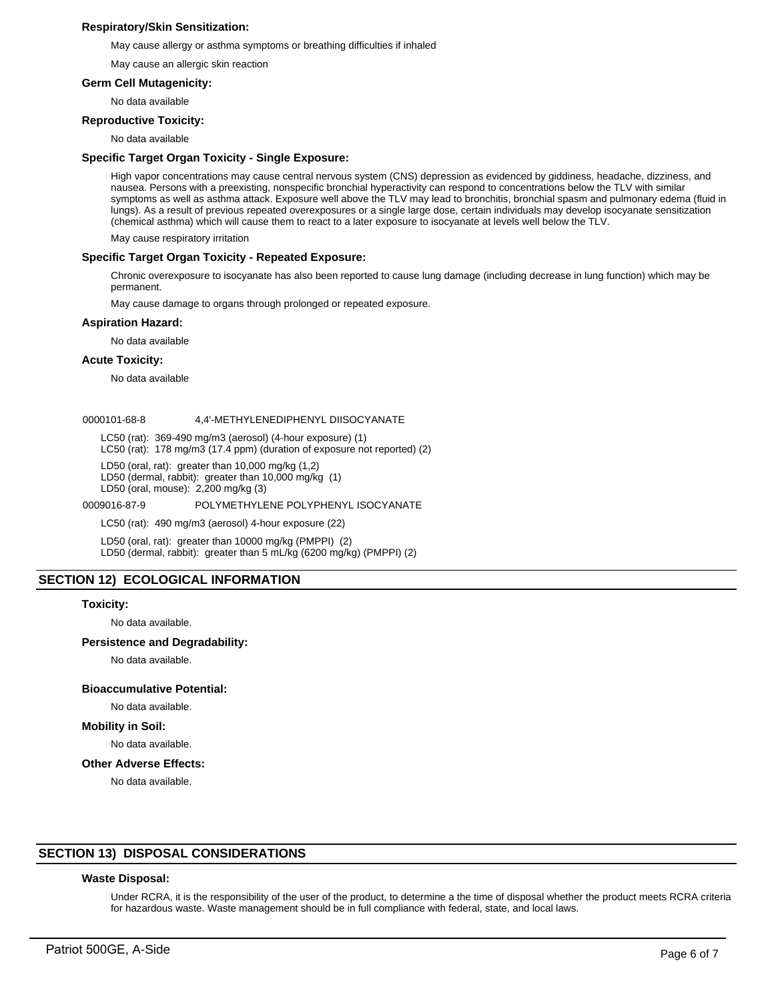### **Respiratory/Skin Sensitization:**

May cause allergy or asthma symptoms or breathing difficulties if inhaled

May cause an allergic skin reaction

### **Germ Cell Mutagenicity:**

No data available

### **Reproductive Toxicity:**

No data available

### **Specific Target Organ Toxicity - Single Exposure:**

High vapor concentrations may cause central nervous system (CNS) depression as evidenced by giddiness, headache, dizziness, and nausea. Persons with a preexisting, nonspecific bronchial hyperactivity can respond to concentrations below the TLV with similar symptoms as well as asthma attack. Exposure well above the TLV may lead to bronchitis, bronchial spasm and pulmonary edema (fluid in lungs). As a result of previous repeated overexposures or a single large dose, certain individuals may develop isocyanate sensitization (chemical asthma) which will cause them to react to a later exposure to isocyanate at levels well below the TLV.

May cause respiratory irritation

### **Specific Target Organ Toxicity - Repeated Exposure:**

Chronic overexposure to isocyanate has also been reported to cause lung damage (including decrease in lung function) which may be permanent.

May cause damage to organs through prolonged or repeated exposure.

### **Aspiration Hazard:**

No data available

### **Acute Toxicity:**

No data available

### 0000101-68-8 4,4'-METHYLENEDIPHENYL DIISOCYANATE

LC50 (rat): 369-490 mg/m3 (aerosol) (4-hour exposure) (1)

LC50 (rat): 178 mg/m3 (17.4 ppm) (duration of exposure not reported) (2)

LD50 (oral, rat): greater than 10,000 mg/kg (1,2)

LD50 (dermal, rabbit): greater than 10,000 mg/kg (1)

LD50 (oral, mouse): 2,200 mg/kg (3)

0009016-87-9 POLYMETHYLENE POLYPHENYL ISOCYANATE

LC50 (rat): 490 mg/m3 (aerosol) 4-hour exposure (22)

LD50 (oral, rat): greater than 10000 mg/kg (PMPPI) (2) LD50 (dermal, rabbit): greater than 5 mL/kg (6200 mg/kg) (PMPPI) (2)

### **SECTION 12) ECOLOGICAL INFORMATION**

### **Toxicity:**

No data available.

### **Persistence and Degradability:**

No data available.

### **Bioaccumulative Potential:**

# No data available.

**Mobility in Soil:**

No data available.

### **Other Adverse Effects:**

No data available.

### **SECTION 13) DISPOSAL CONSIDERATIONS**

### **Waste Disposal:**

Under RCRA, it is the responsibility of the user of the product, to determine a the time of disposal whether the product meets RCRA criteria for hazardous waste. Waste management should be in full compliance with federal, state, and local laws.